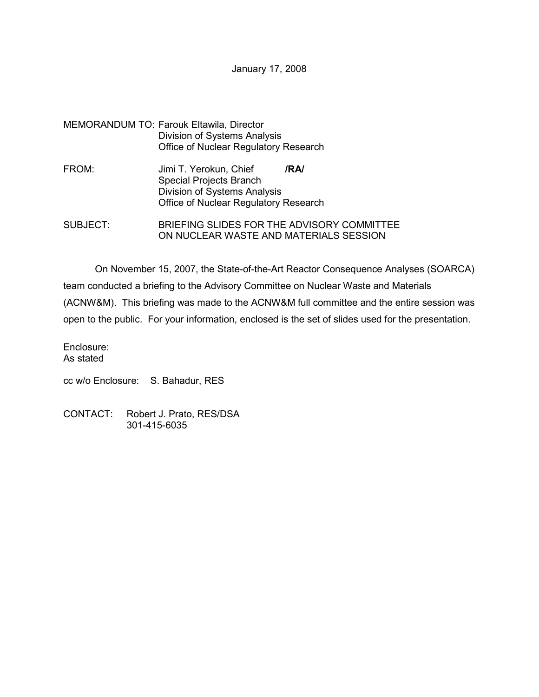January 17, 2008

## MEMORANDUM TO: Farouk Eltawila, Director Division of Systems Analysis Office of Nuclear Regulatory Research

- FROM: Jimi T. Yerokun, Chief **/RA/** Special Projects Branch Division of Systems Analysis Office of Nuclear Regulatory Research
- SUBJECT: BRIEFING SLIDES FOR THE ADVISORY COMMITTEE ON NUCLEAR WASTE AND MATERIALS SESSION

On November 15, 2007, the State-of-the-Art Reactor Consequence Analyses (SOARCA) team conducted a briefing to the Advisory Committee on Nuclear Waste and Materials (ACNW&M). This briefing was made to the ACNW&M full committee and the entire session was open to the public. For your information, enclosed is the set of slides used for the presentation.

Enclosure: As stated

cc w/o Enclosure: S. Bahadur, RES

CONTACT: Robert J. Prato, RES/DSA 301-415-6035